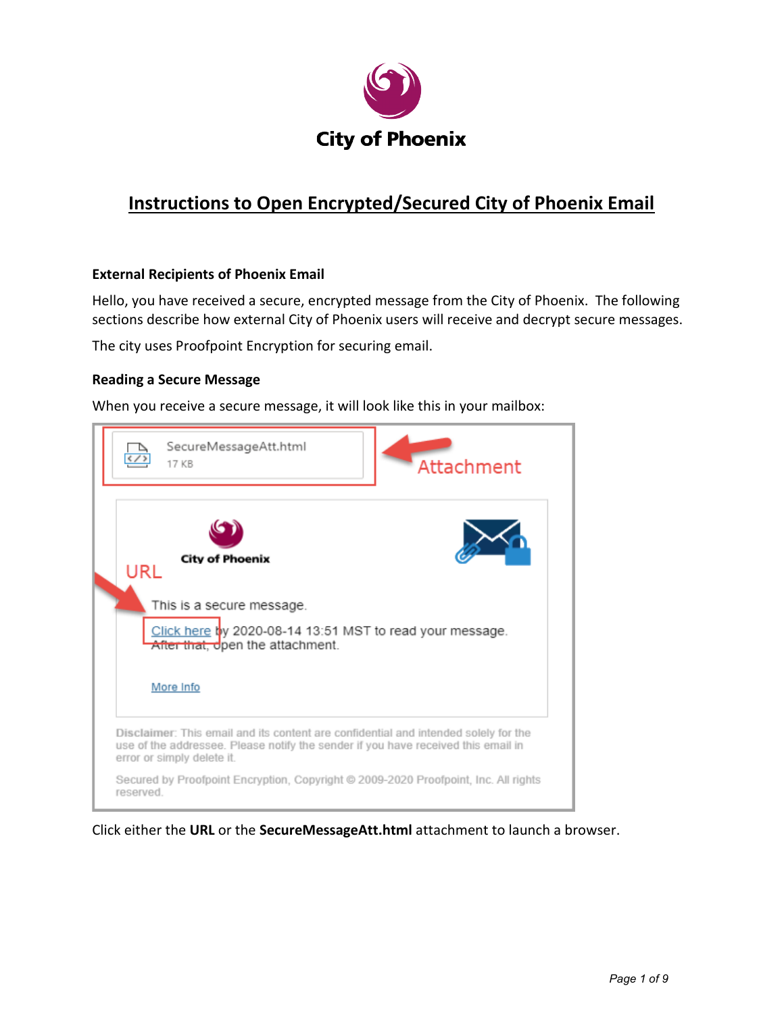

# **Instructions to Open Encrypted/Secured City of Phoenix Email**

### **External Recipients of Phoenix Email**

Hello, you have received a secure, encrypted message from the City of Phoenix. The following sections describe how external City of Phoenix users will receive and decrypt secure messages.

The city uses Proofpoint Encryption for securing email.

### **Reading a Secure Message**

When you receive a secure message, it will look like this in your mailbox:



Click either the **URL** or the **SecureMessageAtt.html** attachment to launch a browser.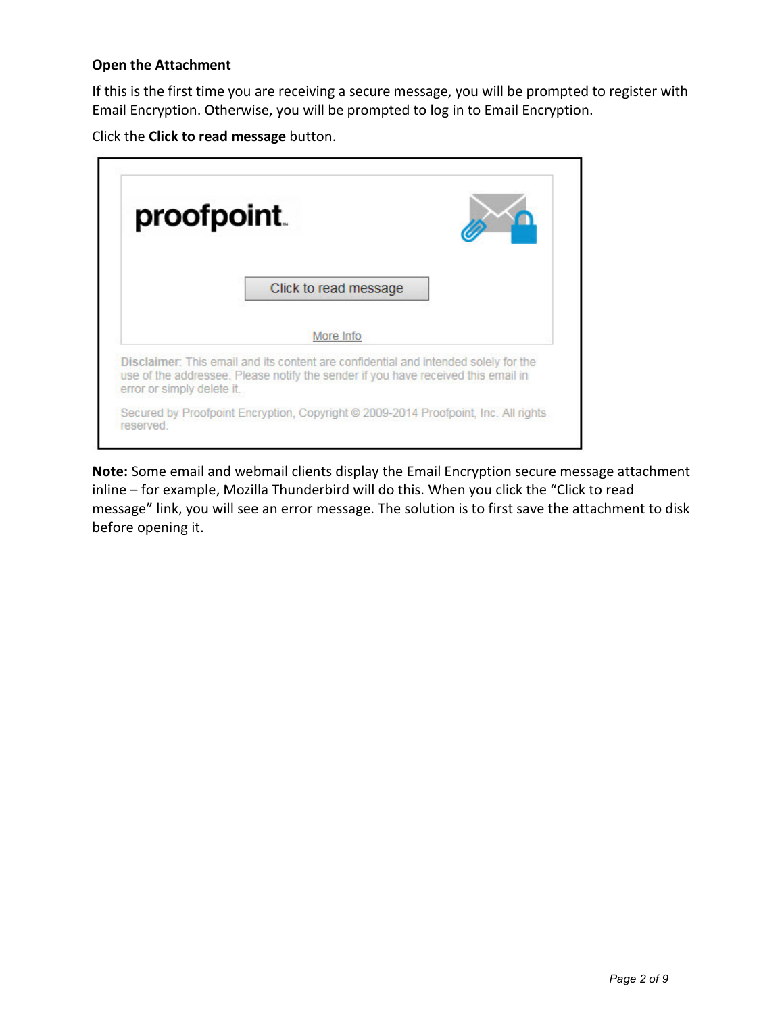### **Open the Attachment**

If this is the first time you are receiving a secure message, you will be prompted to register with Email Encryption. Otherwise, you will be prompted to log in to Email Encryption.

Click the **Click to read message** button.



**Note:** Some email and webmail clients display the Email Encryption secure message attachment inline – for example, Mozilla Thunderbird will do this. When you click the "Click to read message" link, you will see an error message. The solution is to first save the attachment to disk before opening it.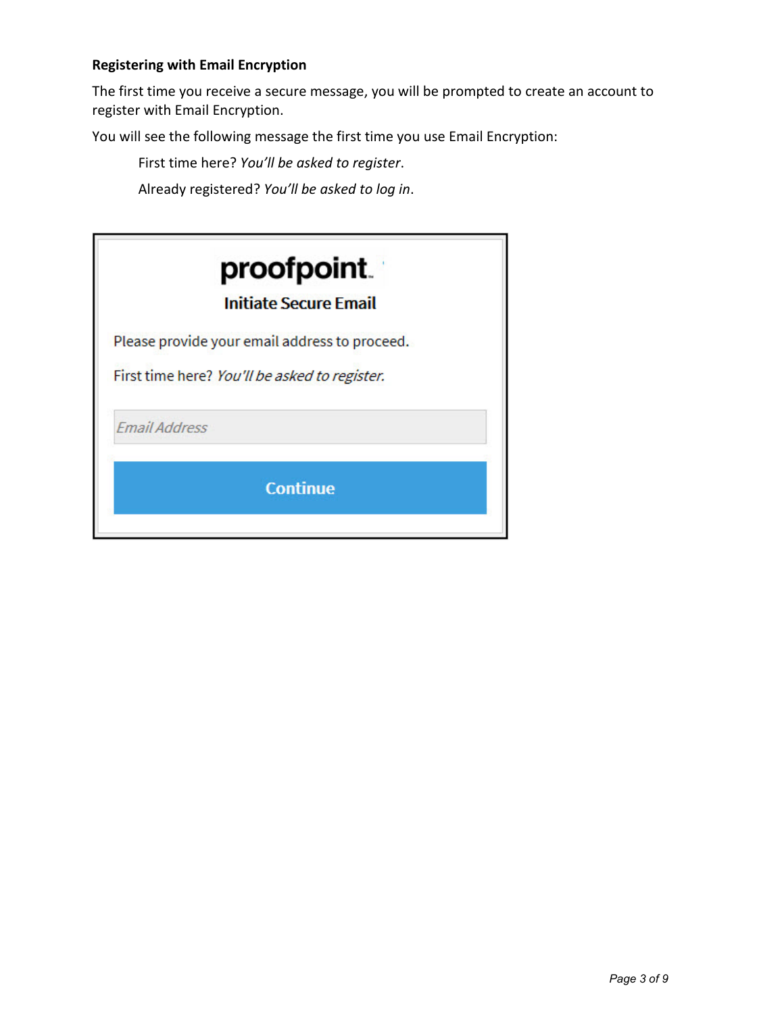# **Registering with Email Encryption**

The first time you receive a secure message, you will be prompted to create an account to register with Email Encryption.

You will see the following message the first time you use Email Encryption:

First time here? *You'll be asked to register*.

Already registered? *You'll be asked to log in*.

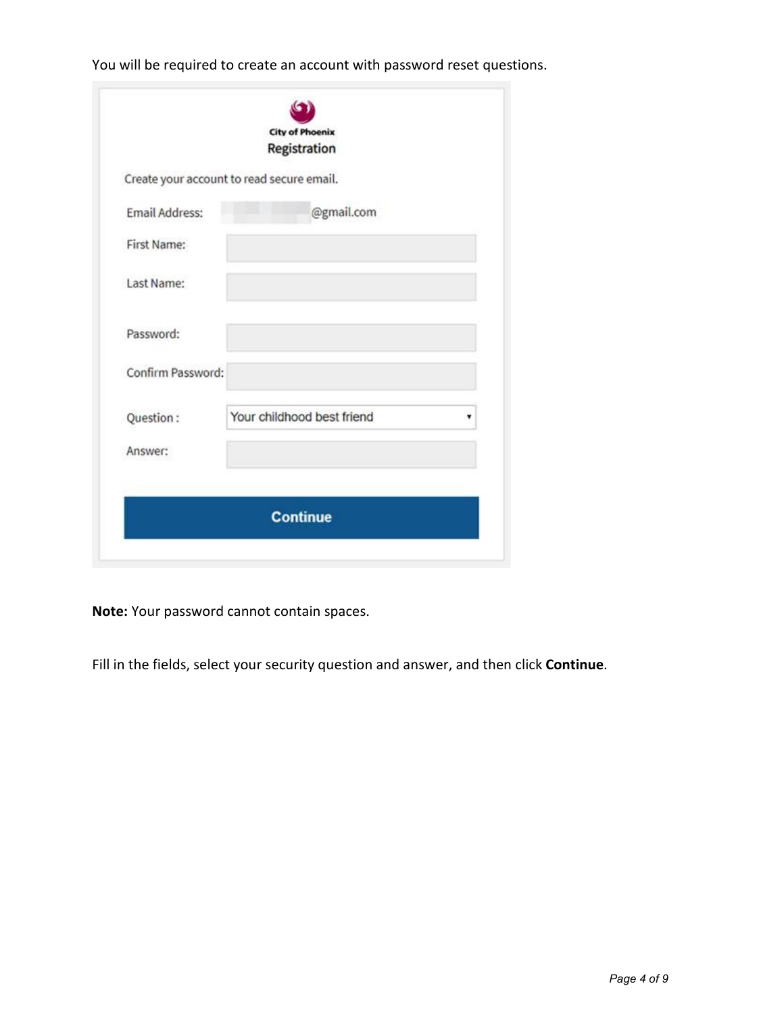You will be required to create an account with password reset questions.

|                       | <b>City of Phoenix</b><br>Registration    |  |
|-----------------------|-------------------------------------------|--|
|                       |                                           |  |
|                       | Create your account to read secure email. |  |
| <b>Email Address:</b> | @gmail.com                                |  |
| First Name:           |                                           |  |
| Last Name:            |                                           |  |
| Password:             |                                           |  |
| Confirm Password:     |                                           |  |
| Question:             | Your childhood best friend                |  |
| Answer:               |                                           |  |
|                       | <b>Continue</b>                           |  |

**Note:** Your password cannot contain spaces.

Fill in the fields, select your security question and answer, and then click **Continue**.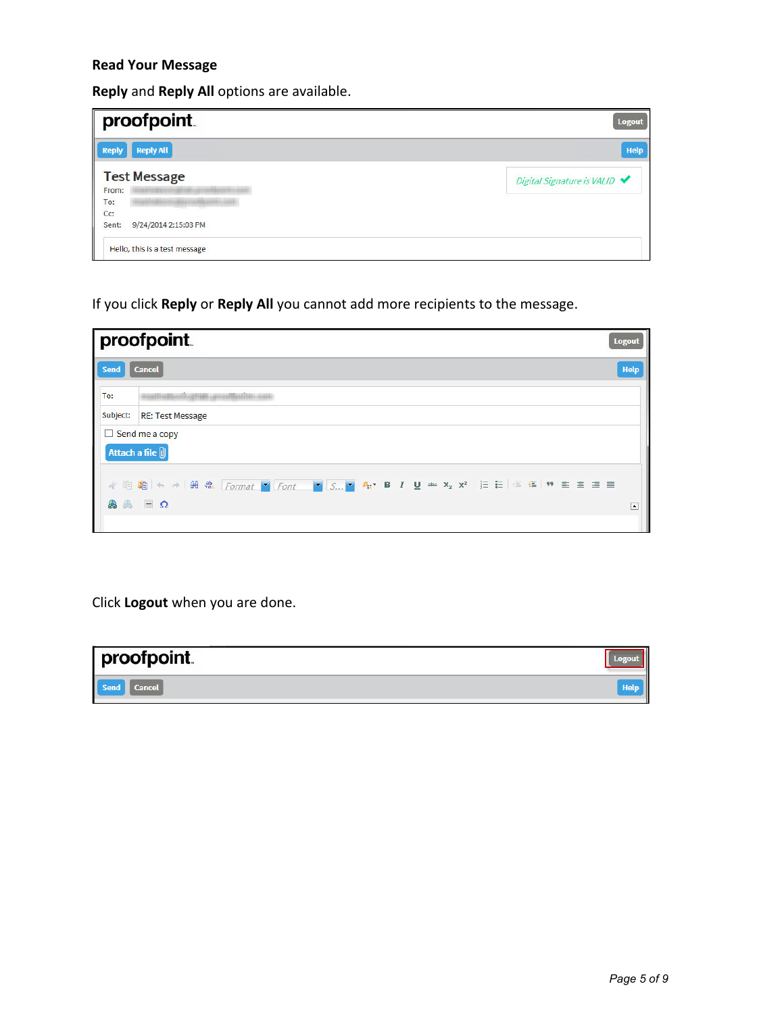# **Read Your Message**

**Reply** and **Reply All** options are available.

| proofpoint.                           | <b>Logout</b>                |
|---------------------------------------|------------------------------|
| Ш<br><b>Reply All</b><br><b>Reply</b> | Help                         |
| <b>Test Message</b><br>From:          | Digital Signature is VALID ◆ |
| To:<br>C <sub>C</sub>                 |                              |
| 9/24/2014 2:15:03 PM<br>Sent:         |                              |
| Hello, this is a test message         |                              |

If you click **Reply** or **Reply All** you cannot add more recipients to the message.

|             | proofpoint.                                                                                                                |                          |  |  |  |  |
|-------------|----------------------------------------------------------------------------------------------------------------------------|--------------------------|--|--|--|--|
| <b>Send</b> | Help<br><b>Cancel</b>                                                                                                      |                          |  |  |  |  |
| To:         | SPILIN LIFTURERED IN LIFE                                                                                                  |                          |  |  |  |  |
|             | Subject: RE: Test Message                                                                                                  |                          |  |  |  |  |
|             | $\Box$ Send me a copy<br>Attach a file (<br><b>√ 咱 咱 く ♪ B st Format V Font V S V A: B I U abt x2 x2 三 三 ∈ 在 ♥ ミ ミ ヨ 目</b> |                          |  |  |  |  |
|             | $\bullet$ $\bullet$ $\Box$ $\Omega$                                                                                        | $\overline{\phantom{a}}$ |  |  |  |  |

Click **Logout** when you are done.

| proofpoint.           |  |
|-----------------------|--|
| Send<br><b>Cancel</b> |  |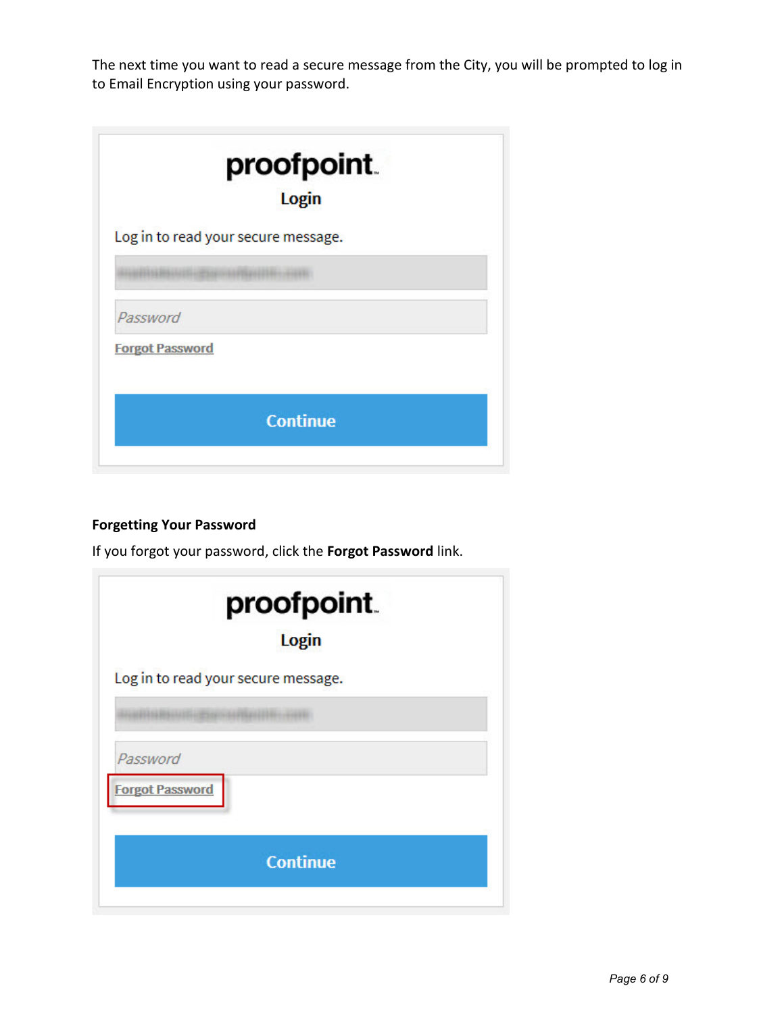The next time you want to read a secure message from the City, you will be prompted to log in to Email Encryption using your password.

|                        | proofpoint.<br>Login                |
|------------------------|-------------------------------------|
|                        | Log in to read your secure message. |
|                        |                                     |
| Password               |                                     |
| <b>Forgot Password</b> |                                     |
|                        |                                     |
|                        | <b>Continue</b>                     |
|                        |                                     |

# **Forgetting Your Password**

If you forgot your password, click the **Forgot Password** link.

| proofpoint.<br>Login                |  |
|-------------------------------------|--|
| Log in to read your secure message. |  |
|                                     |  |
| Password<br><b>Forgot Password</b>  |  |
| <b>Continue</b>                     |  |
|                                     |  |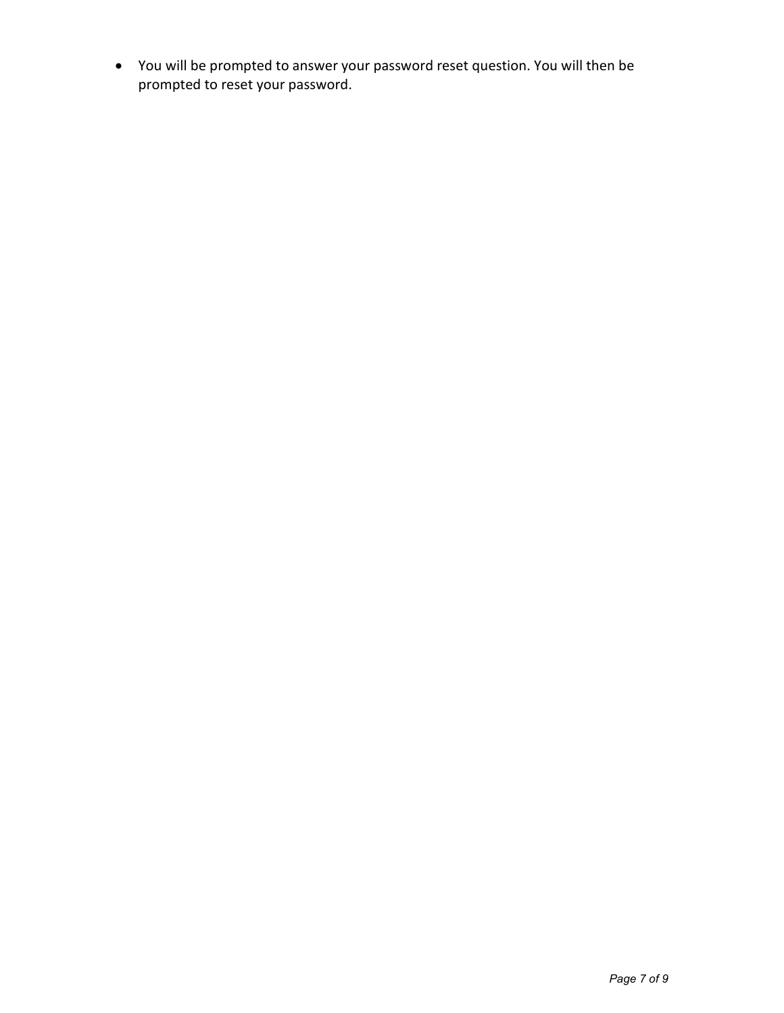• You will be prompted to answer your password reset question. You will then be prompted to reset your password.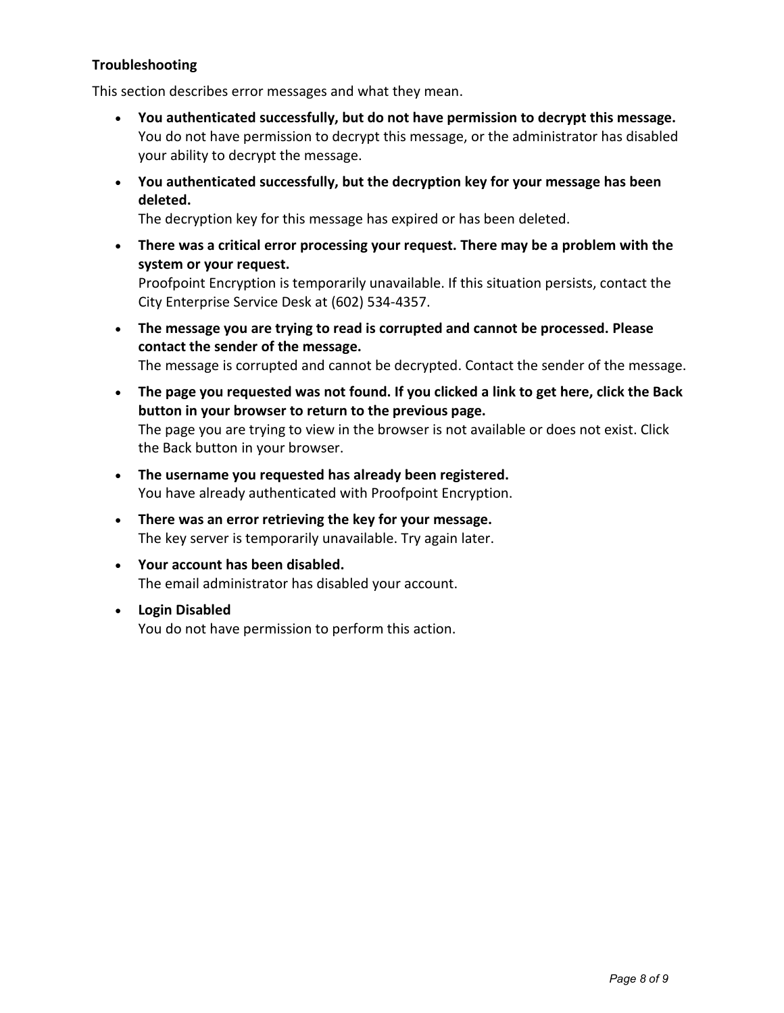### **Troubleshooting**

This section describes error messages and what they mean.

- **You authenticated successfully, but do not have permission to decrypt this message.** You do not have permission to decrypt this message, or the administrator has disabled your ability to decrypt the message.
- **You authenticated successfully, but the decryption key for your message has been deleted.**

The decryption key for this message has expired or has been deleted.

• **There was a critical error processing your request. There may be a problem with the system or your request.**

Proofpoint Encryption is temporarily unavailable. If this situation persists, contact the City Enterprise Service Desk at (602) 534-4357.

- **The message you are trying to read is corrupted and cannot be processed. Please contact the sender of the message.** The message is corrupted and cannot be decrypted. Contact the sender of the message.
- **The page you requested was not found. If you clicked a link to get here, click the Back button in your browser to return to the previous page.** The page you are trying to view in the browser is not available or does not exist. Click the Back button in your browser.
- **The username you requested has already been registered.** You have already authenticated with Proofpoint Encryption.
- **There was an error retrieving the key for your message.** The key server is temporarily unavailable. Try again later.
- **Your account has been disabled.** The email administrator has disabled your account.
- **Login Disabled** You do not have permission to perform this action.